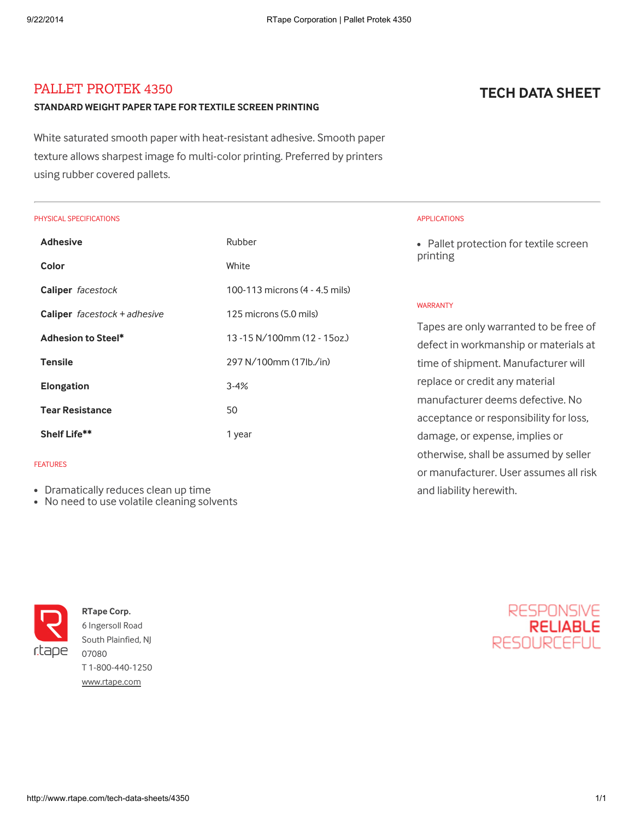# PALLET PROTEK 4350

### STANDARD WEIGHT PAPER TAPE FOR TEXTILE SCREEN PRINTING

White saturated smooth paper with heat-resistant adhesive. Smooth paper texture allows sharpest image fo multi-color printing. Preferred by printers using rubber covered pallets.

### PHYSICAL SPECIFICATIONS

| <b>Adhesive</b>                     | Rubber                         |
|-------------------------------------|--------------------------------|
| Color                               | White                          |
| Caliper facestock                   | 100-113 microns (4 - 4.5 mils) |
| <b>Caliper</b> $faces$ + $adhesive$ | 125 microns (5.0 mils)         |
| Adhesion to Steel*                  | $13 - 15 N/100mm(12 - 15oz)$   |
| <b>Tensile</b>                      | 297 N/100mm (17lb./in)         |
| <b>Elongation</b>                   | $3 - 4%$                       |
| <b>Tear Resistance</b>              | 50                             |
| Shelf Life**                        | 1 year                         |

### FEATURES

- Dramatically reduces clean up time
- No need to use volatile cleaning solvents



RTape Corp. 6 Ingersoll Road South Plainfied, NJ 07080 T 1-800-440-1250 [www.rtape.com](http://www.rtape.com/)

# TECH DATA SHEET

### APPLICATIONS

• Pallet protection for textile screen printing

### WARRANTY

Tapes are only warranted to be free of defect in workmanship or materials at time of shipment. Manufacturer will replace or credit any material manufacturer deems defective. No acceptance or responsibility for loss, damage, or expense, implies or otherwise, shall be assumed by seller or manufacturer. User assumes all risk and liability herewith.